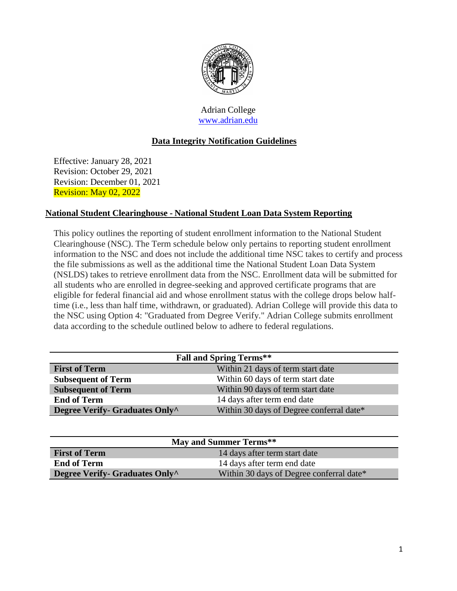

Adrian College [www.adrian.edu](http://www.adrian.edu/)

# **Data Integrity Notification Guidelines**

Effective: January 28, 2021 Revision: October 29, 2021 Revision: December 01, 2021 Revision: May 02, 2022

#### **National Student Clearinghouse - National Student Loan Data System Reporting**

This policy outlines the reporting of student enrollment information to the National Student Clearinghouse (NSC). The Term schedule below only pertains to reporting student enrollment information to the NSC and does not include the additional time NSC takes to certify and process the file submissions as well as the additional time the National Student Loan Data System (NSLDS) takes to retrieve enrollment data from the NSC. Enrollment data will be submitted for all students who are enrolled in degree-seeking and approved certificate programs that are eligible for federal financial aid and whose enrollment status with the college drops below halftime (i.e., less than half time, withdrawn, or graduated). Adrian College will provide this data to the NSC using Option 4: "Graduated from Degree Verify." Adrian College submits enrollment data according to the schedule outlined below to adhere to federal regulations.

| <b>Fall and Spring Terms**</b>                                             |                                   |  |
|----------------------------------------------------------------------------|-----------------------------------|--|
| <b>First of Term</b>                                                       | Within 21 days of term start date |  |
| <b>Subsequent of Term</b>                                                  | Within 60 days of term start date |  |
| <b>Subsequent of Term</b>                                                  | Within 90 days of term start date |  |
| <b>End of Term</b>                                                         | 14 days after term end date       |  |
| Within 30 days of Degree conferral date*<br>Degree Verify- Graduates Only^ |                                   |  |

| May and Summer Terms**         |                                          |  |
|--------------------------------|------------------------------------------|--|
| <b>First of Term</b>           | 14 days after term start date            |  |
| <b>End of Term</b>             | 14 days after term end date              |  |
| Degree Verify- Graduates Only^ | Within 30 days of Degree conferral date* |  |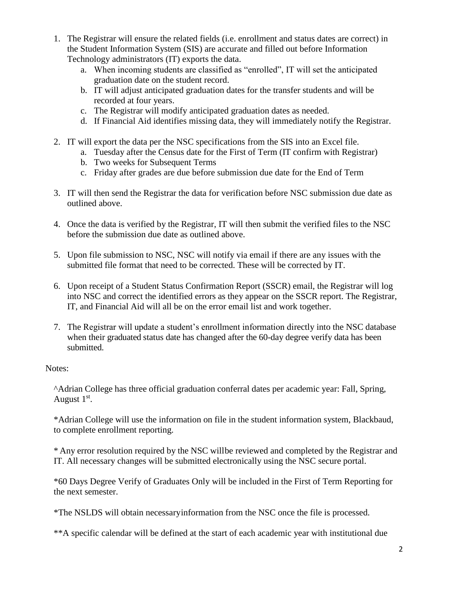- 1. The Registrar will ensure the related fields (i.e. enrollment and status dates are correct) in the Student Information System (SIS) are accurate and filled out before Information Technology administrators (IT) exports the data.
	- a. When incoming students are classified as "enrolled", IT will set the anticipated graduation date on the student record.
	- b. IT will adjust anticipated graduation dates for the transfer students and will be recorded at four years.
	- c. The Registrar will modify anticipated graduation dates as needed.
	- d. If Financial Aid identifies missing data, they will immediately notify the Registrar.
- 2. IT will export the data per the NSC specifications from the SIS into an Excel file.
	- a. Tuesday after the Census date for the First of Term (IT confirm with Registrar)
	- b. Two weeks for Subsequent Terms
	- c. Friday after grades are due before submission due date for the End of Term
- 3. IT will then send the Registrar the data for verification before NSC submission due date as outlined above.
- 4. Once the data is verified by the Registrar, IT will then submit the verified files to the NSC before the submission due date as outlined above.
- 5. Upon file submission to NSC, NSC will notify via email if there are any issues with the submitted file format that need to be corrected. These will be corrected by IT.
- 6. Upon receipt of a Student Status Confirmation Report (SSCR) email, the Registrar will log into NSC and correct the identified errors as they appear on the SSCR report. The Registrar, IT, and Financial Aid will all be on the error email list and work together.
- 7. The Registrar will update a student's enrollment information directly into the NSC database when their graduated status date has changed after the 60-day degree verify data has been submitted.

Notes:

^Adrian College has three official graduation conferral dates per academic year: Fall, Spring, August  $1<sup>st</sup>$ .

\*Adrian College will use the information on file in the student information system, Blackbaud, to complete enrollment reporting.

\* Any error resolution required by the NSC willbe reviewed and completed by the Registrar and IT. All necessary changes will be submitted electronically using the NSC secure portal.

\*60 Days Degree Verify of Graduates Only will be included in the First of Term Reporting for the next semester.

\*The NSLDS will obtain necessaryinformation from the NSC once the file is processed.

\*\*A specific calendar will be defined at the start of each academic year with institutional due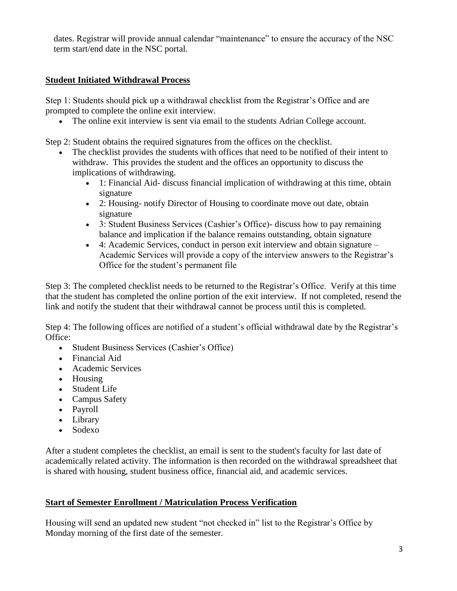dates. Registrar will provide annual calendar "maintenance" to ensure the accuracy of the NSC term start/end date in the NSC portal.

#### **Student Initiated Withdrawal Process**

Step 1: Students should pick up a withdrawal checklist from the Registrar's Office and are prompted to complete the online exit interview.

The online exit interview is sent via email to the students Adrian College account.

Step 2: Student obtains the required signatures from the offices on the checklist.

- The checklist provides the students with offices that need to be notified of their intent to withdraw. This provides the student and the offices an opportunity to discuss the implications of withdrawing.
	- 1: Financial Aid- discuss financial implication of withdrawing at this time, obtain signature
	- 2: Housing- notify Director of Housing to coordinate move out date, obtain signature
	- 3: Student Business Services (Cashier's Office)- discuss how to pay remaining balance and implication if the balance remains outstanding, obtain signature
	- 4: Academic Services, conduct in person exit interview and obtain signature Academic Services will provide a copy of the interview answers to the Registrar's Office for the student's permanent file

Step 3: The completed checklist needs to be returned to the Registrar's Office. Verify at this time that the student has completed the online portion of the exit interview. If not completed, resend the link and notify the student that their withdrawal cannot be process until this is completed.

Step 4: The following offices are notified of a student's official withdrawal date by the Registrar's Office:

- Student Business Services (Cashier's Office)
- Financial Aid
- Academic Services
- Housing
- Student Life
- Campus Safety
- Payroll
- Library
- Sodexo

After a student completes the checklist, an email is sent to the student's faculty for last date of academically related activity. The information is then recorded on the withdrawal spreadsheet that is shared with housing, student business office, financial aid, and academic services.

#### **Start of Semester Enrollment / Matriculation Process Verification**

Housing will send an updated new student "not checked in" list to the Registrar's Office by Monday morning of the first date of the semester.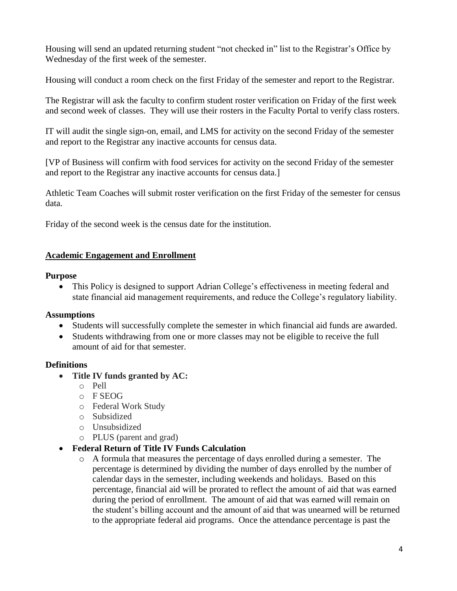Housing will send an updated returning student "not checked in" list to the Registrar's Office by Wednesday of the first week of the semester.

Housing will conduct a room check on the first Friday of the semester and report to the Registrar.

The Registrar will ask the faculty to confirm student roster verification on Friday of the first week and second week of classes. They will use their rosters in the Faculty Portal to verify class rosters.

IT will audit the single sign-on, email, and LMS for activity on the second Friday of the semester and report to the Registrar any inactive accounts for census data.

[VP of Business will confirm with food services for activity on the second Friday of the semester and report to the Registrar any inactive accounts for census data.]

Athletic Team Coaches will submit roster verification on the first Friday of the semester for census data.

Friday of the second week is the census date for the institution.

#### **Academic Engagement and Enrollment**

#### **Purpose**

• This Policy is designed to support Adrian College's effectiveness in meeting federal and state financial aid management requirements, and reduce the College's regulatory liability.

#### **Assumptions**

- Students will successfully complete the semester in which financial aid funds are awarded.
- Students withdrawing from one or more classes may not be eligible to receive the full amount of aid for that semester.

# **Definitions**

- **Title IV funds granted by AC:**
	- o Pell
	- $O$  F SEOG
	- o Federal Work Study
	- o Subsidized
	- o Unsubsidized
	- o PLUS (parent and grad)
- **Federal Return of Title IV Funds Calculation**
	- $\circ$  A formula that measures the percentage of days enrolled during a semester. The percentage is determined by dividing the number of days enrolled by the number of calendar days in the semester, including weekends and holidays. Based on this percentage, financial aid will be prorated to reflect the amount of aid that was earned during the period of enrollment. The amount of aid that was earned will remain on the student's billing account and the amount of aid that was unearned will be returned to the appropriate federal aid programs. Once the attendance percentage is past the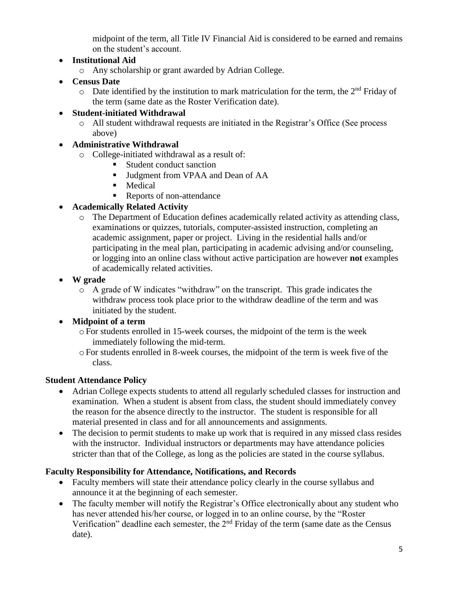midpoint of the term, all Title IV Financial Aid is considered to be earned and remains on the student's account.

# **Institutional Aid**

- o Any scholarship or grant awarded by Adrian College.
- **Census Date**
	- $\circ$  Date identified by the institution to mark matriculation for the term, the 2<sup>nd</sup> Friday of the term (same date as the Roster Verification date).

## **Student-initiated Withdrawal**

o All student withdrawal requests are initiated in the Registrar's Office (See process above)

## **Administrative Withdrawal**

- o College-initiated withdrawal as a result of:
	- Student conduct sanction
	- **Judgment from VPAA and Dean of AA**
	- **Medical**
	- Reports of non-attendance

# **Academically Related Activity**

- o The Department of Education defines academically related activity as attending class, examinations or quizzes, tutorials, computer-assisted instruction, completing an academic assignment, paper or project. Living in the residential halls and/or participating in the meal plan, participating in academic advising and/or counseling, or logging into an online class without active participation are however **not** examples of academically related activities.
- **W grade**
	- o A grade of W indicates "withdraw" on the transcript. This grade indicates the withdraw process took place prior to the withdraw deadline of the term and was initiated by the student.

# **Midpoint of a term**

- oFor students enrolled in 15-week courses, the midpoint of the term is the week immediately following the mid-term.
- oFor students enrolled in 8-week courses, the midpoint of the term is week five of the class.

#### **Student Attendance Policy**

- Adrian College expects students to attend all regularly scheduled classes for instruction and examination. When a student is absent from class, the student should immediately convey the reason for the absence directly to the instructor. The student is responsible for all material presented in class and for all announcements and assignments.
- The decision to permit students to make up work that is required in any missed class resides with the instructor. Individual instructors or departments may have attendance policies stricter than that of the College, as long as the policies are stated in the course syllabus.

# **Faculty Responsibility for Attendance, Notifications, and Records**

- Faculty members will state their attendance policy clearly in the course syllabus and announce it at the beginning of each semester.
- The faculty member will notify the Registrar's Office electronically about any student who has never attended his/her course, or logged in to an online course, by the "Roster Verification" deadline each semester, the 2nd Friday of the term (same date as the Census date).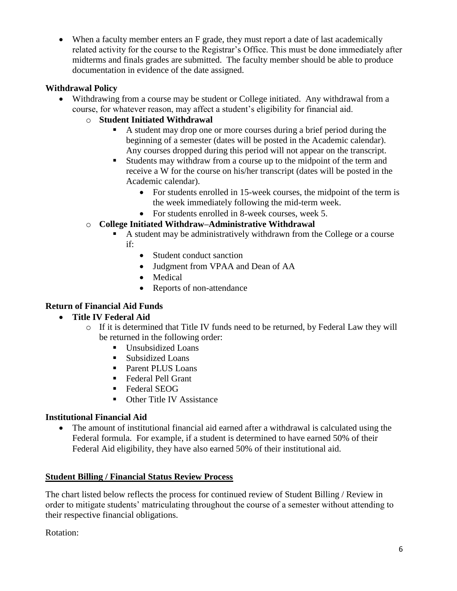• When a faculty member enters an F grade, they must report a date of last academically related activity for the course to the Registrar's Office. This must be done immediately after midterms and finals grades are submitted. The faculty member should be able to produce documentation in evidence of the date assigned.

## **Withdrawal Policy**

- Withdrawing from a course may be student or College initiated. Any withdrawal from a course, for whatever reason, may affect a student's eligibility for financial aid.
	- o **Student Initiated Withdrawal**
		- A student may drop one or more courses during a brief period during the beginning of a semester (dates will be posted in the Academic calendar). Any courses dropped during this period will not appear on the transcript.
		- Students may withdraw from a course up to the midpoint of the term and receive a W for the course on his/her transcript (dates will be posted in the Academic calendar).
			- For students enrolled in 15-week courses, the midpoint of the term is the week immediately following the mid-term week.
			- For students enrolled in 8-week courses, week 5.
	- o **College Initiated Withdraw–Administrative Withdrawal**
		- A student may be administratively withdrawn from the College or a course if:
			- Student conduct sanction
			- Judgment from VPAA and Dean of AA
			- Medical
			- Reports of non-attendance

# **Return of Financial Aid Funds**

# **Title IV Federal Aid**

- o If it is determined that Title IV funds need to be returned, by Federal Law they will be returned in the following order:
	- **Unsubsidized Loans**
	- Subsidized Loans
	- Parent PLUS Loans
	- Federal Pell Grant
	- Federal SEOG
	- Other Title IV Assistance

# **Institutional Financial Aid**

 The amount of institutional financial aid earned after a withdrawal is calculated using the Federal formula. For example, if a student is determined to have earned 50% of their Federal Aid eligibility, they have also earned 50% of their institutional aid.

#### **Student Billing / Financial Status Review Process**

The chart listed below reflects the process for continued review of Student Billing / Review in order to mitigate students' matriculating throughout the course of a semester without attending to their respective financial obligations.

Rotation: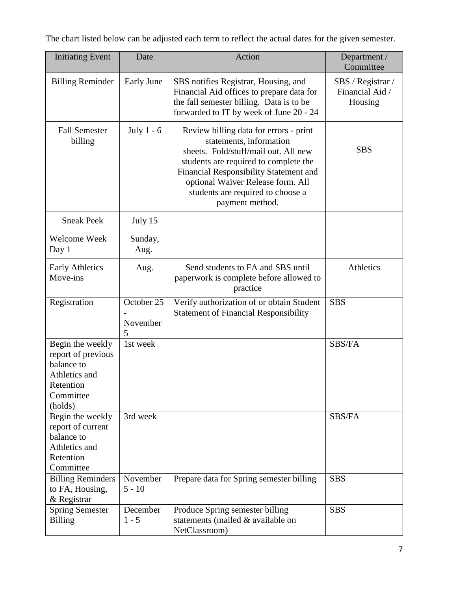The chart listed below can be adjusted each term to reflect the actual dates for the given semester.

| <b>Initiating Event</b>                                                                                    | Date                        | Action                                                                                                                                                                                                                                                                                    | Department /<br>Committee                       |
|------------------------------------------------------------------------------------------------------------|-----------------------------|-------------------------------------------------------------------------------------------------------------------------------------------------------------------------------------------------------------------------------------------------------------------------------------------|-------------------------------------------------|
| <b>Billing Reminder</b>                                                                                    | Early June                  | SBS notifies Registrar, Housing, and<br>Financial Aid offices to prepare data for<br>the fall semester billing. Data is to be<br>forwarded to IT by week of June 20 - 24                                                                                                                  | SBS / Registrar /<br>Financial Aid /<br>Housing |
| <b>Fall Semester</b><br>billing                                                                            | July $1 - 6$                | Review billing data for errors - print<br>statements, information<br>sheets. Fold/stuff/mail out. All new<br>students are required to complete the<br>Financial Responsibility Statement and<br>optional Waiver Release form. All<br>students are required to choose a<br>payment method. | <b>SBS</b>                                      |
| <b>Sneak Peek</b>                                                                                          | July 15                     |                                                                                                                                                                                                                                                                                           |                                                 |
| Welcome Week<br>Day 1                                                                                      | Sunday,<br>Aug.             |                                                                                                                                                                                                                                                                                           |                                                 |
| <b>Early Athletics</b><br>Move-ins                                                                         | Aug.                        | Send students to FA and SBS until<br>paperwork is complete before allowed to<br>practice                                                                                                                                                                                                  | Athletics                                       |
| Registration                                                                                               | October 25<br>November<br>5 | Verify authorization of or obtain Student<br><b>Statement of Financial Responsibility</b>                                                                                                                                                                                                 | <b>SBS</b>                                      |
| Begin the weekly<br>report of previous<br>balance to<br>Athletics and<br>Retention<br>Committee<br>(holds) | 1st week                    |                                                                                                                                                                                                                                                                                           | SBS/FA                                          |
| Begin the weekly<br>report of current<br>balance to<br>Athletics and<br>Retention<br>Committee             | 3rd week                    |                                                                                                                                                                                                                                                                                           | SBS/FA                                          |
| <b>Billing Reminders</b><br>to FA, Housing,<br>& Registrar                                                 | November<br>$5 - 10$        | Prepare data for Spring semester billing                                                                                                                                                                                                                                                  | <b>SBS</b>                                      |
| <b>Spring Semester</b><br><b>Billing</b>                                                                   | December<br>$1 - 5$         | Produce Spring semester billing<br>statements (mailed & available on<br>NetClassroom)                                                                                                                                                                                                     | <b>SBS</b>                                      |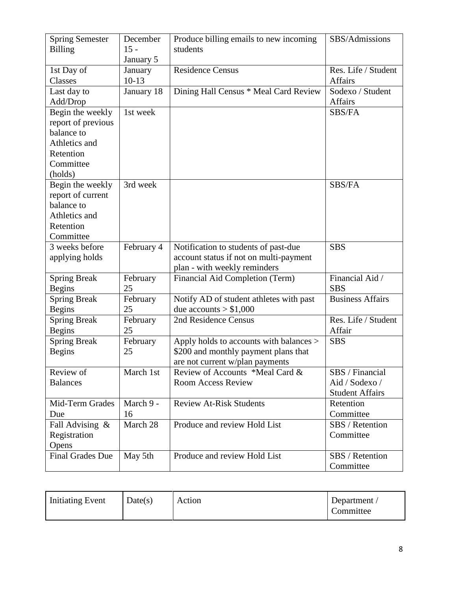| <b>Spring Semester</b>  | December   | Produce billing emails to new incoming  | SBS/Admissions          |
|-------------------------|------------|-----------------------------------------|-------------------------|
| <b>Billing</b>          | $15 -$     | students                                |                         |
|                         | January 5  |                                         |                         |
| 1st Day of              | January    | <b>Residence Census</b>                 | Res. Life / Student     |
| Classes                 | $10-13$    |                                         | <b>Affairs</b>          |
| Last day to             | January 18 | Dining Hall Census * Meal Card Review   | Sodexo / Student        |
| Add/Drop                |            |                                         | Affairs                 |
| Begin the weekly        | 1st week   |                                         | <b>SBS/FA</b>           |
| report of previous      |            |                                         |                         |
| balance to              |            |                                         |                         |
| Athletics and           |            |                                         |                         |
| Retention               |            |                                         |                         |
| Committee               |            |                                         |                         |
| (holds)                 |            |                                         |                         |
| Begin the weekly        | 3rd week   |                                         | SBS/FA                  |
| report of current       |            |                                         |                         |
| balance to              |            |                                         |                         |
| Athletics and           |            |                                         |                         |
| Retention               |            |                                         |                         |
| Committee               |            |                                         |                         |
| 3 weeks before          | February 4 | Notification to students of past-due    | <b>SBS</b>              |
| applying holds          |            | account status if not on multi-payment  |                         |
|                         |            | plan - with weekly reminders            |                         |
| <b>Spring Break</b>     | February   | Financial Aid Completion (Term)         | Financial Aid /         |
| <b>Begins</b>           | 25         |                                         | <b>SBS</b>              |
| <b>Spring Break</b>     | February   | Notify AD of student athletes with past | <b>Business Affairs</b> |
| <b>Begins</b>           | 25         | due accounts $> $1,000$                 |                         |
| <b>Spring Break</b>     | February   | 2nd Residence Census                    | Res. Life / Student     |
| <b>Begins</b>           | 25         |                                         | Affair                  |
| <b>Spring Break</b>     | February   | Apply holds to accounts with balances > | <b>SBS</b>              |
| <b>Begins</b>           | 25         | \$200 and monthly payment plans that    |                         |
|                         |            | are not current w/plan payments         |                         |
| Review of               | March 1st  | Review of Accounts *Meal Card &         | SBS / Financial         |
| <b>Balances</b>         |            | <b>Room Access Review</b>               | Aid / Sodexo /          |
|                         |            |                                         | <b>Student Affairs</b>  |
| Mid-Term Grades         | March 9 -  | <b>Review At-Risk Students</b>          | Retention               |
| Due                     | 16         |                                         | Committee               |
| Fall Advising &         | March 28   | Produce and review Hold List            | SBS / Retention         |
| Registration            |            |                                         | Committee               |
| Opens                   |            |                                         |                         |
| <b>Final Grades Due</b> | May 5th    | Produce and review Hold List            | SBS / Retention         |
|                         |            |                                         | Committee               |

| Initiating Event | Date(s) | Action | Department<br>Committee |
|------------------|---------|--------|-------------------------|
|------------------|---------|--------|-------------------------|